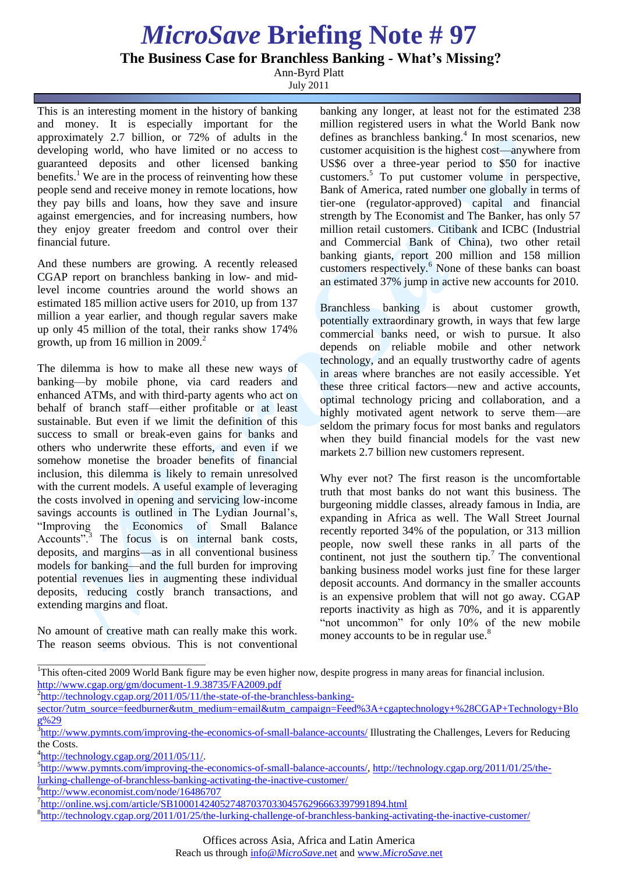## *MicroSave* **Briefing Note # 97**

**The Business Case for Branchless Banking - What's Missing?**

Ann-Byrd Platt

July 2011

This is an interesting moment in the history of banking and money. It is especially important for the approximately 2.7 billion, or 72% of adults in the developing world, who have limited or no access to guaranteed deposits and other licensed banking benefits.<sup>1</sup> We are in the process of reinventing how these people send and receive money in remote locations, how they pay bills and loans, how they save and insure against emergencies, and for increasing numbers, how they enjoy greater freedom and control over their financial future.

And these numbers are growing. A recently released CGAP report on branchless banking in low- and midlevel income countries around the world shows an estimated 185 million active users for 2010, up from 137 million a year earlier, and though regular savers make up only 45 million of the total, their ranks show 174% growth, up from 16 million in  $2009<sup>2</sup>$ .

The dilemma is how to make all these new ways of banking—by mobile phone, via card readers and enhanced ATMs, and with third-party agents who act on behalf of branch staff—either profitable or at least sustainable. But even if we limit the definition of this success to small or break-even gains for banks and others who underwrite these efforts, and even if we somehow monetise the broader benefits of financial inclusion, this dilemma is likely to remain unresolved with the current models. A useful example of leveraging the costs involved in opening and servicing low-income savings accounts is outlined in The Lydian Journal's, "Improving the Economics of Small Balance Accounts".<sup>3</sup> The focus is on internal bank costs, deposits, and margins—as in all conventional business models for banking—and the full burden for improving potential revenues lies in augmenting these individual deposits, reducing costly branch transactions, and extending margins and float.

No amount of creative math can really make this work. The reason seems obvious. This is not conventional banking any longer, at least not for the estimated 238 million registered users in what the World Bank now defines as branchless banking.<sup>4</sup> In most scenarios, new customer acquisition is the highest cost—anywhere from US\$6 over a three-year period to \$50 for inactive customers.<sup>5</sup> To put customer volume in perspective, Bank of America, rated number one globally in terms of tier-one (regulator-approved) capital and financial strength by The Economist and The Banker, has only 57 million retail customers. Citibank and ICBC (Industrial and Commercial Bank of China), two other retail banking giants, report 200 million and 158 million customers respectively.<sup>6</sup> None of these banks can boast an estimated 37% jump in active new accounts for 2010.

Branchless banking is about customer growth, potentially extraordinary growth, in ways that few large commercial banks need, or wish to pursue. It also depends on reliable mobile and other network technology, and an equally trustworthy cadre of agents in areas where branches are not easily accessible. Yet these three critical factors—new and active accounts, optimal technology pricing and collaboration, and a highly motivated agent network to serve them—are seldom the primary focus for most banks and regulators when they build financial models for the vast new markets 2.7 billion new customers represent.

Why ever not? The first reason is the uncomfortable truth that most banks do not want this business. The burgeoning middle classes, already famous in India, are expanding in Africa as well. The Wall Street Journal recently reported 34% of the population, or 313 million people, now swell these ranks in all parts of the continent, not just the southern tip.<sup>7</sup> The conventional banking business model works just fine for these larger deposit accounts. And dormancy in the smaller accounts is an expensive problem that will not go away. CGAP reports inactivity as high as 70%, and it is apparently "not uncommon" for only 10% of the new mobile money accounts to be in regular use.<sup>8</sup>

\_\_\_\_\_\_\_\_\_\_\_\_\_\_\_\_\_\_\_\_\_\_\_\_\_\_\_\_\_\_\_\_\_\_\_\_

6 http://www.economist.com/node/16486707

<sup>&</sup>lt;sup>1</sup>This often-cited 2009 World Bank figure may be even higher now, despite progress in many areas for financial inclusion. http://www.cgap.org/gm/document-1.9.38735/FA2009.pdf

<sup>&</sup>lt;sup>2</sup>http://technology.cgap.org/2011/05/11/the-state-of-the-branchless-banking-

sector/?utm\_source=feedburner&utm\_medium=email&utm\_campaign=Feed%3A+cgaptechnology+%28CGAP+Technology+Blo g%29

<sup>&</sup>lt;sup>3</sup>http://www.pymnts.com/improving-the-economics-of-small-balance-accounts/ Illustrating the Challenges, Levers for Reducing the Costs.

 $\frac{4 \text{http://technology.cgap.org/2011/05/11/}}{4 \cdot \text{http://technology.cgap.org/2011/05/11/}}$ .

<sup>&</sup>lt;sup>5</sup>http://www.pymnts.com/improving-the-economics-of-small-balance-accounts/, http://technology.cgap.org/2011/01/25/thelurking-challenge-of-branchless-banking-activating-the-inactive-customer/

<sup>&</sup>lt;sup>7</sup>http://online.wsj.com/article/SB10001424052748703703304576296663397991894.html

<sup>&</sup>lt;sup>8</sup>http://technology.cgap.org/2011/01/25/the-lurking-challenge-of-branchless-banking-activating-the-inactive-customer/